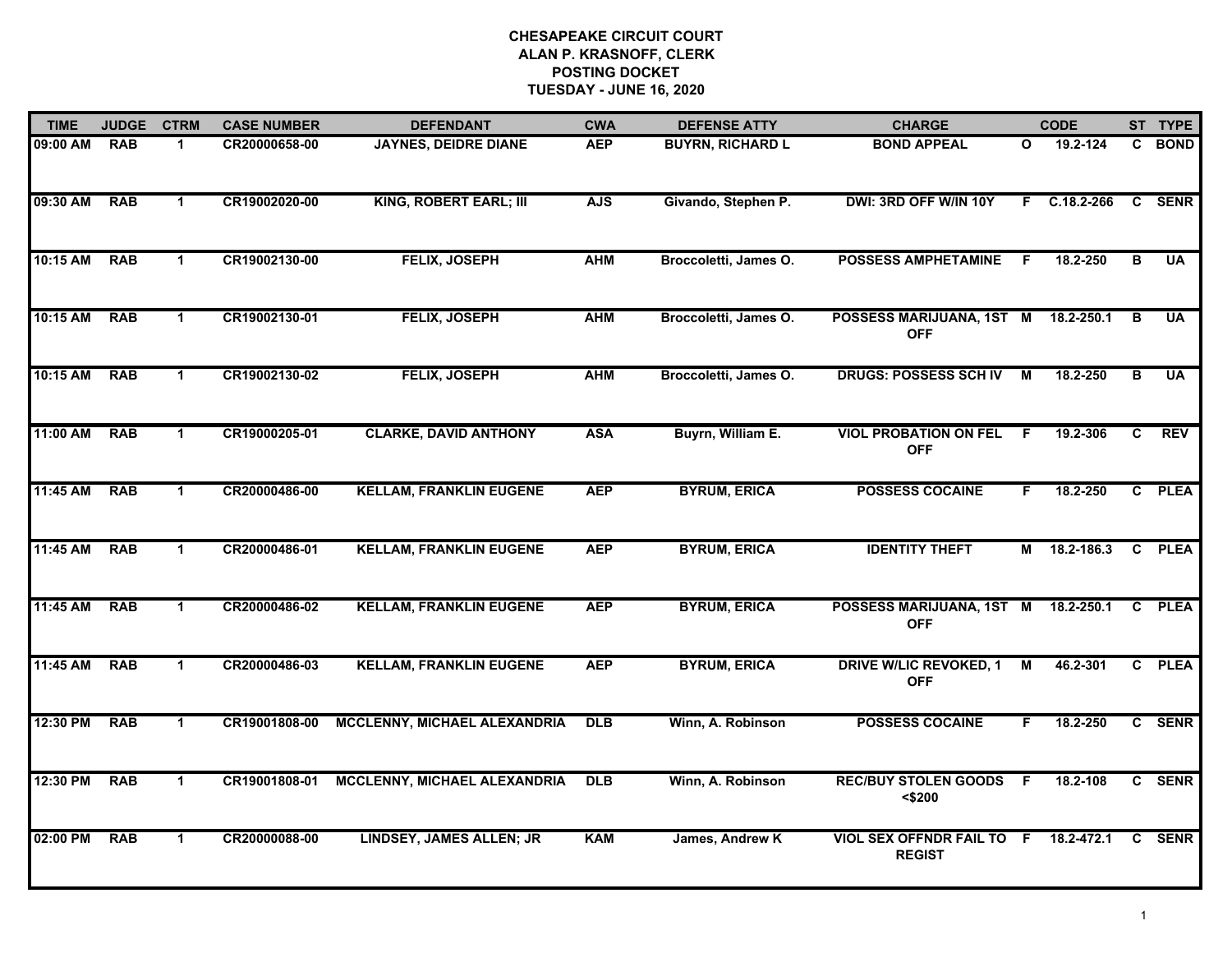| <b>TIME</b> | <b>JUDGE</b> | <b>CTRM</b>          | <b>CASE NUMBER</b> | <b>DEFENDANT</b>               | <b>CWA</b> | <b>DEFENSE ATTY</b>     | <b>CHARGE</b>                                     |                | <b>CODE</b>    |    | ST TYPE     |
|-------------|--------------|----------------------|--------------------|--------------------------------|------------|-------------------------|---------------------------------------------------|----------------|----------------|----|-------------|
| 09:00 AM    | <b>RAB</b>   | $\mathbf 1$          | CR20000658-00      | <b>JAYNES, DEIDRE DIANE</b>    | <b>AEP</b> | <b>BUYRN, RICHARD L</b> | <b>BOND APPEAL</b>                                | O              | 19.2-124       | C. | <b>BOND</b> |
| 09:30 AM    | <b>RAB</b>   | $\mathbf{1}$         | CR19002020-00      | KING, ROBERT EARL; III         | <b>AJS</b> | Givando, Stephen P.     | DWI: 3RD OFF W/IN 10Y                             | F.             | $C.18.2 - 266$ | C  | <b>SENR</b> |
| 10:15 AM    | <b>RAB</b>   | $\mathbf{1}$         | CR19002130-00      | <b>FELIX, JOSEPH</b>           | <b>AHM</b> | Broccoletti, James O.   | <b>POSSESS AMPHETAMINE</b>                        | -F             | 18.2-250       | в  | <b>UA</b>   |
| 10:15 AM    | <b>RAB</b>   | $\mathbf 1$          | CR19002130-01      | FELIX, JOSEPH                  | <b>AHM</b> | Broccoletti, James O.   | POSSESS MARIJUANA, 1ST M<br><b>OFF</b>            |                | 18.2-250.1     | в  | UA          |
| 10:15 AM    | <b>RAB</b>   | $\blacktriangleleft$ | CR19002130-02      | FELIX, JOSEPH                  | <b>AHM</b> | Broccoletti, James O.   | <b>DRUGS: POSSESS SCH IV</b>                      | М              | 18.2-250       | в  | <b>UA</b>   |
| 11:00 AM    | <b>RAB</b>   | $\mathbf{1}$         | CR19000205-01      | <b>CLARKE, DAVID ANTHONY</b>   | <b>ASA</b> | Buyrn, William E.       | <b>VIOL PROBATION ON FEL</b><br><b>OFF</b>        | F              | 19.2-306       | C  | <b>REV</b>  |
| 11:45 AM    | <b>RAB</b>   | $\blacktriangleleft$ | CR20000486-00      | <b>KELLAM, FRANKLIN EUGENE</b> | <b>AEP</b> | <b>BYRUM, ERICA</b>     | <b>POSSESS COCAINE</b>                            | F.             | 18.2-250       |    | C PLEA      |
| 11:45 AM    | <b>RAB</b>   | $\mathbf{1}$         | CR20000486-01      | <b>KELLAM, FRANKLIN EUGENE</b> | <b>AEP</b> | <b>BYRUM, ERICA</b>     | <b>IDENTITY THEFT</b>                             |                | M 18.2-186.3   |    | C PLEA      |
| 11:45 AM    | <b>RAB</b>   | $\mathbf{1}$         | CR20000486-02      | <b>KELLAM, FRANKLIN EUGENE</b> | <b>AEP</b> | <b>BYRUM, ERICA</b>     | POSSESS MARIJUANA, 1ST M<br><b>OFF</b>            |                | 18.2-250.1     | C  | <b>PLEA</b> |
| 11:45 AM    | <b>RAB</b>   | $\mathbf{1}$         | CR20000486-03      | <b>KELLAM, FRANKLIN EUGENE</b> | <b>AEP</b> | <b>BYRUM, ERICA</b>     | <b>DRIVE W/LIC REVOKED, 1</b><br><b>OFF</b>       | М              | 46.2-301       |    | C PLEA      |
| 12:30 PM    | <b>RAB</b>   | $\blacktriangleleft$ | CR19001808-00      | MCCLENNY, MICHAEL ALEXANDRIA   | <b>DLB</b> | Winn, A. Robinson       | <b>POSSESS COCAINE</b>                            | F              | 18.2-250       |    | C SENR      |
| 12:30 PM    | <b>RAB</b>   | $\blacktriangleleft$ | CR19001808-01      | MCCLENNY, MICHAEL ALEXANDRIA   | DLB        | Winn, A. Robinson       | <b>REC/BUY STOLEN GOODS</b><br>$<$ \$200          | $\overline{F}$ | 18.2-108       |    | C SENR      |
| 02:00 PM    | <b>RAB</b>   | $\mathbf 1$          | CR20000088-00      | LINDSEY, JAMES ALLEN; JR       | <b>KAM</b> | James, Andrew K         | <b>VIOL SEX OFFNDR FAIL TO F</b><br><b>REGIST</b> |                | 18.2-472.1     | C. | <b>SENR</b> |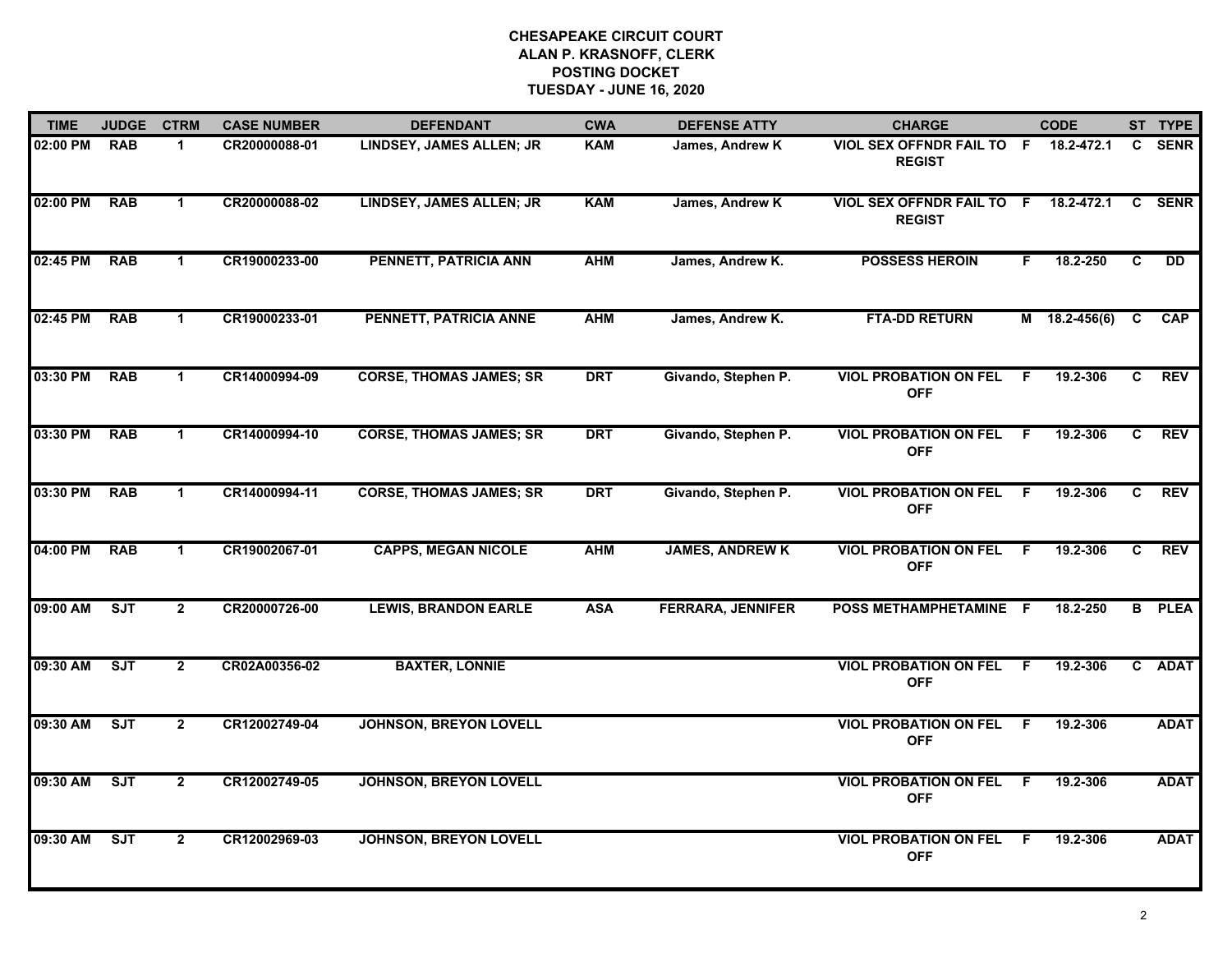| <b>TIME</b> | <b>JUDGE</b> | <b>CTRM</b>    | <b>CASE NUMBER</b> | <b>DEFENDANT</b>                | <b>CWA</b> | <b>DEFENSE ATTY</b>      | <b>CHARGE</b>                                         |                | <b>CODE</b>   |              | ST TYPE       |
|-------------|--------------|----------------|--------------------|---------------------------------|------------|--------------------------|-------------------------------------------------------|----------------|---------------|--------------|---------------|
| 02:00 PM    | <b>RAB</b>   | $\mathbf 1$    | CR20000088-01      | LINDSEY, JAMES ALLEN; JR        | <b>KAM</b> | James, Andrew K          | VIOL SEX OFFNDR FAIL TO F 18.2-472.1<br><b>REGIST</b> |                |               | C            | <b>SENR</b>   |
| 02:00 PM    | <b>RAB</b>   | $\mathbf{1}$   | CR20000088-02      | <b>LINDSEY, JAMES ALLEN; JR</b> | <b>KAM</b> | James, Andrew K          | <b>VIOL SEX OFFNDR FAIL TO F</b><br><b>REGIST</b>     |                | 18.2-472.1    | C            | <b>SENR</b>   |
| 02:45 PM    | <b>RAB</b>   | $\mathbf{1}$   | CR19000233-00      | PENNETT, PATRICIA ANN           | <b>AHM</b> | James, Andrew K.         | <b>POSSESS HEROIN</b>                                 | F.             | 18.2-250      | C            | DD            |
| 02:45 PM    | <b>RAB</b>   | $\mathbf 1$    | CR19000233-01      | PENNETT, PATRICIA ANNE          | <b>AHM</b> | James, Andrew K.         | <b>FTA-DD RETURN</b>                                  |                | M 18.2-456(6) | C            | <b>CAP</b>    |
| 03:30 PM    | <b>RAB</b>   | $\mathbf{1}$   | CR14000994-09      | <b>CORSE, THOMAS JAMES; SR</b>  | <b>DRT</b> | Givando, Stephen P.      | <b>VIOL PROBATION ON FEL</b><br><b>OFF</b>            | E              | 19.2-306      | $\mathbf{c}$ | <b>REV</b>    |
| 03:30 PM    | <b>RAB</b>   | $\mathbf 1$    | CR14000994-10      | <b>CORSE, THOMAS JAMES; SR</b>  | <b>DRT</b> | Givando, Stephen P.      | <b>VIOL PROBATION ON FEL</b><br><b>OFF</b>            | F.             | 19.2-306      | C            | <b>REV</b>    |
| 03:30 PM    | <b>RAB</b>   | $\mathbf{1}$   | CR14000994-11      | <b>CORSE, THOMAS JAMES; SR</b>  | <b>DRT</b> | Givando, Stephen P.      | <b>VIOL PROBATION ON FEL</b><br><b>OFF</b>            | F.             | 19.2-306      | C            | <b>REV</b>    |
| 04:00 PM    | <b>RAB</b>   | $\mathbf 1$    | CR19002067-01      | <b>CAPPS, MEGAN NICOLE</b>      | <b>AHM</b> | <b>JAMES, ANDREW K</b>   | <b>VIOL PROBATION ON FEL</b><br><b>OFF</b>            | F.             | 19.2-306      | C            | <b>REV</b>    |
| 09:00 AM    | ST           | $\mathbf{2}$   | CR20000726-00      | <b>LEWIS, BRANDON EARLE</b>     | <b>ASA</b> | <b>FERRARA, JENNIFER</b> | POSS METHAMPHETAMINE F                                |                | 18.2-250      |              | <b>B</b> PLEA |
| 09:30 AM    | SJT          | $\mathbf{2}$   | CR02A00356-02      | <b>BAXTER, LONNIE</b>           |            |                          | <b>VIOL PROBATION ON FEL</b><br><b>OFF</b>            | - F            | 19.2-306      |              | C ADAT        |
| 09:30 AM    | SJT          | $\overline{2}$ | CR12002749-04      | <b>JOHNSON, BREYON LOVELL</b>   |            |                          | <b>VIOL PROBATION ON FEL</b><br><b>OFF</b>            | $\overline{F}$ | 19.2-306      |              | <b>ADAT</b>   |
| 09:30 AM    | <b>SJT</b>   | $\mathbf{2}$   | CR12002749-05      | <b>JOHNSON, BREYON LOVELL</b>   |            |                          | <b>VIOL PROBATION ON FEL</b><br><b>OFF</b>            | -F             | 19.2-306      |              | <b>ADAT</b>   |
| 09:30 AM    | SJT          | $\mathbf{2}$   | CR12002969-03      | <b>JOHNSON, BREYON LOVELL</b>   |            |                          | <b>VIOL PROBATION ON FEL</b><br><b>OFF</b>            | -F             | 19.2-306      |              | <b>ADAT</b>   |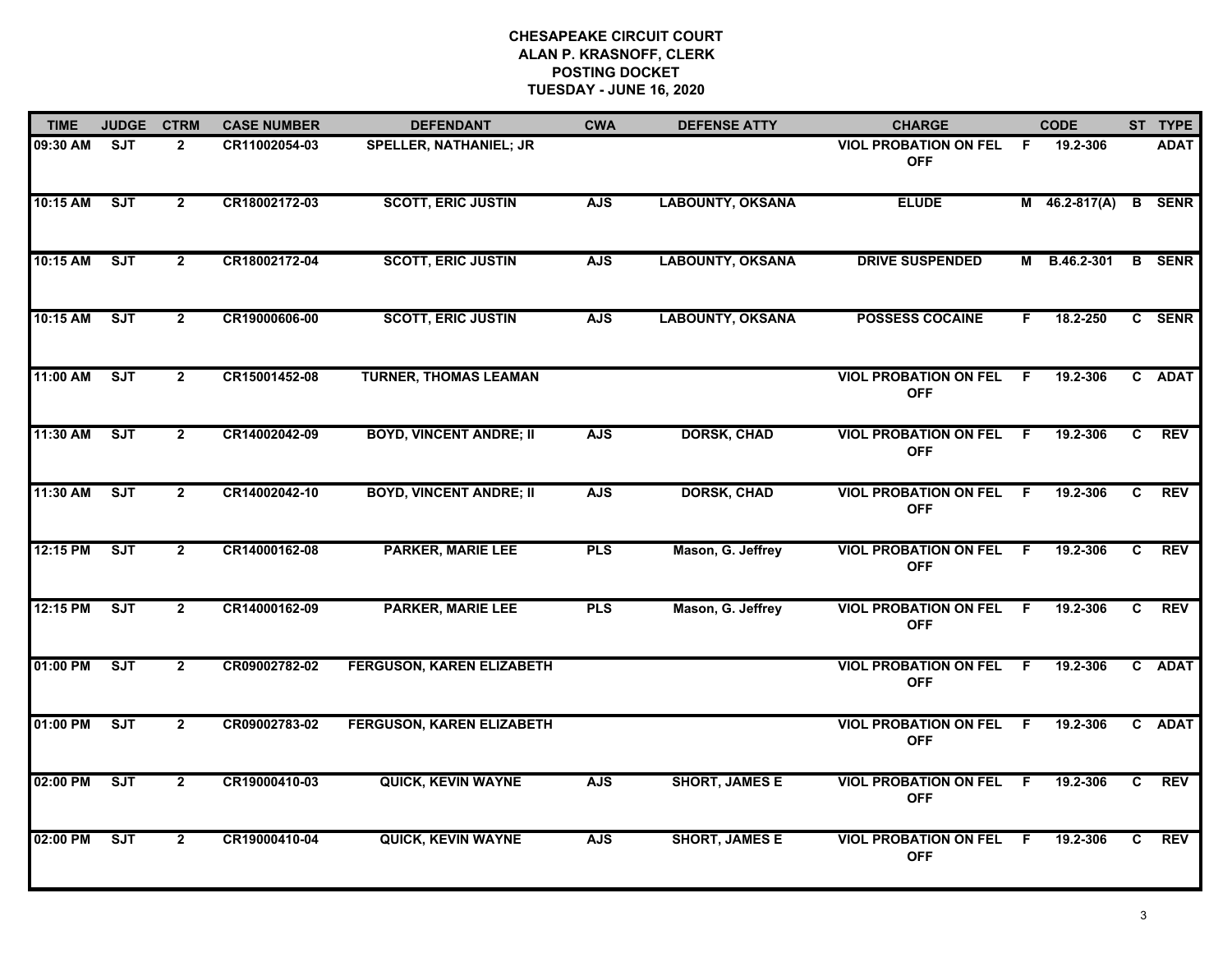| <b>TIME</b> | <b>JUDGE</b> | <b>CTRM</b>    | <b>CASE NUMBER</b> | <b>DEFENDANT</b>                 | <b>CWA</b> | <b>DEFENSE ATTY</b>     | <b>CHARGE</b>                                |     | <b>CODE</b>     |    | ST TYPE       |
|-------------|--------------|----------------|--------------------|----------------------------------|------------|-------------------------|----------------------------------------------|-----|-----------------|----|---------------|
| 09:30 AM    | <b>SJT</b>   | $\mathbf{2}$   | CR11002054-03      | <b>SPELLER, NATHANIEL; JR</b>    |            |                         | VIOL PROBATION ON FEL F<br><b>OFF</b>        |     | 19.2-306        |    | <b>ADAT</b>   |
| 10:15 AM    | <b>SJT</b>   | $\overline{2}$ | CR18002172-03      | <b>SCOTT, ERIC JUSTIN</b>        | <b>AJS</b> | <b>LABOUNTY, OKSANA</b> | <b>ELUDE</b>                                 |     | $M$ 46.2-817(A) |    | <b>B</b> SENR |
| 10:15 AM    | <b>SJT</b>   | $\overline{2}$ | CR18002172-04      | <b>SCOTT, ERIC JUSTIN</b>        | <b>AJS</b> | <b>LABOUNTY, OKSANA</b> | <b>DRIVE SUSPENDED</b>                       | M   | B.46.2-301      |    | <b>B</b> SENR |
| 10:15 AM    | <b>SJT</b>   | $\mathbf{2}$   | CR19000606-00      | <b>SCOTT, ERIC JUSTIN</b>        | <b>AJS</b> | <b>LABOUNTY, OKSANA</b> | <b>POSSESS COCAINE</b>                       | F.  | 18.2-250        |    | C SENR        |
| 11:00 AM    | ST           | $\overline{2}$ | CR15001452-08      | <b>TURNER, THOMAS LEAMAN</b>     |            |                         | <b>VIOL PROBATION ON FEL F</b><br><b>OFF</b> |     | 19.2-306        |    | C ADAT        |
| 11:30 AM    | SJT          | $\overline{2}$ | CR14002042-09      | <b>BOYD, VINCENT ANDRE; II</b>   | <b>AJS</b> | <b>DORSK, CHAD</b>      | <b>VIOL PROBATION ON FEL</b><br><b>OFF</b>   | F   | 19.2-306        | C. | <b>REV</b>    |
| 11:30 AM    | ST           | $\overline{2}$ | CR14002042-10      | <b>BOYD, VINCENT ANDRE; II</b>   | <b>AJS</b> | <b>DORSK, CHAD</b>      | <b>VIOL PROBATION ON FEL</b><br><b>OFF</b>   | - F | 19.2-306        | C  | REV           |
| 12:15 PM    | SJT          | $\overline{2}$ | CR14000162-08      | <b>PARKER, MARIE LEE</b>         | <b>PLS</b> | Mason, G. Jeffrey       | <b>VIOL PROBATION ON FEL F</b><br><b>OFF</b> |     | 19.2-306        | C. | REV           |
| 12:15 PM    | <b>SJT</b>   | $\overline{2}$ | CR14000162-09      | <b>PARKER, MARIE LEE</b>         | <b>PLS</b> | Mason, G. Jeffrey       | <b>VIOL PROBATION ON FEL</b><br><b>OFF</b>   | -F  | 19.2-306        | C. | <b>REV</b>    |
| 01:00 PM    | SJT          | $\overline{2}$ | CR09002782-02      | <b>FERGUSON, KAREN ELIZABETH</b> |            |                         | <b>VIOL PROBATION ON FEL</b><br><b>OFF</b>   | - F | 19.2-306        |    | C ADAT        |
| 01:00 PM    | <b>SJT</b>   | $\overline{2}$ | CR09002783-02      | <b>FERGUSON, KAREN ELIZABETH</b> |            |                         | <b>VIOL PROBATION ON FEL F</b><br><b>OFF</b> |     | 19.2-306        |    | C ADAT        |
| 02:00 PM    | ST           | $\overline{2}$ | CR19000410-03      | <b>QUICK, KEVIN WAYNE</b>        | <b>AJS</b> | <b>SHORT, JAMES E</b>   | <b>VIOL PROBATION ON FEL</b><br><b>OFF</b>   | F.  | 19.2-306        | C  | <b>REV</b>    |
| 02:00 PM    | <b>SJT</b>   | $\mathbf{2}$   | CR19000410-04      | <b>QUICK, KEVIN WAYNE</b>        | <b>AJS</b> | <b>SHORT, JAMES E</b>   | <b>VIOL PROBATION ON FEL</b><br><b>OFF</b>   | F.  | 19.2-306        | C  | <b>REV</b>    |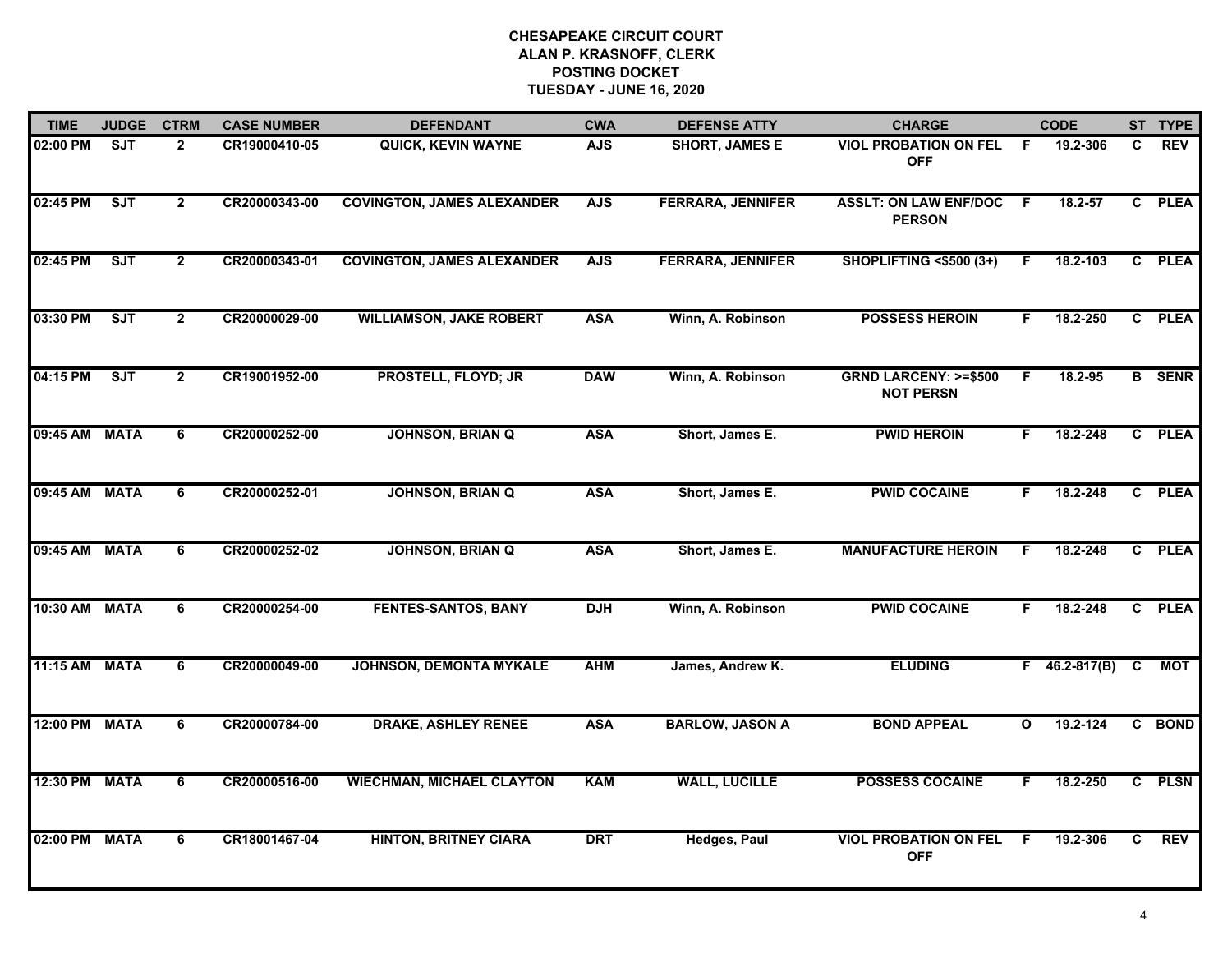| <b>TIME</b>   | <b>JUDGE</b> | <b>CTRM</b>    | <b>CASE NUMBER</b> | <b>DEFENDANT</b>                  | <b>CWA</b> | <b>DEFENSE ATTY</b>      | <b>CHARGE</b>                                       |              | <b>CODE</b>     |                | ST TYPE       |
|---------------|--------------|----------------|--------------------|-----------------------------------|------------|--------------------------|-----------------------------------------------------|--------------|-----------------|----------------|---------------|
| 02:00 PM      | <b>SJT</b>   | $\mathbf{2}$   | CR19000410-05      | <b>QUICK, KEVIN WAYNE</b>         | <b>AJS</b> | <b>SHORT, JAMES E</b>    | <b>VIOL PROBATION ON FEL</b><br><b>OFF</b>          | -F           | 19.2-306        | C              | <b>REV</b>    |
| 02:45 PM      | ST           | $\overline{2}$ | CR20000343-00      | <b>COVINGTON, JAMES ALEXANDER</b> | <b>AJS</b> | <b>FERRARA, JENNIFER</b> | <b>ASSLT: ON LAW ENF/DOC</b><br><b>PERSON</b>       | - F          | 18.2-57         | C              | <b>PLEA</b>   |
| 02:45 PM      | SJT          | $\mathbf{2}$   | CR20000343-01      | <b>COVINGTON, JAMES ALEXANDER</b> | <b>AJS</b> | <b>FERRARA, JENNIFER</b> | <b>SHOPLIFTING &lt;\$500 (3+)</b>                   | F            | 18.2-103        | $\mathbf{c}$   | <b>PLEA</b>   |
| 03:30 PM      | SJT          | $\overline{2}$ | CR20000029-00      | <b>WILLIAMSON, JAKE ROBERT</b>    | <b>ASA</b> | Winn, A. Robinson        | <b>POSSESS HEROIN</b>                               | F            | 18.2-250        | $\mathbf{c}$   | <b>PLEA</b>   |
| 04:15 PM      | ST           | $\overline{2}$ | CR19001952-00      | <b>PROSTELL, FLOYD; JR</b>        | <b>DAW</b> | Winn, A. Robinson        | <b>GRND LARCENY: &gt;=\$500</b><br><b>NOT PERSN</b> | F.           | 18.2-95         |                | <b>B</b> SENR |
| 09:45 AM MATA |              | 6              | CR20000252-00      | <b>JOHNSON, BRIAN Q</b>           | <b>ASA</b> | Short, James E.          | <b>PWID HEROIN</b>                                  | F.           | 18.2-248        |                | C PLEA        |
| 09:45 AM MATA |              | 6              | CR20000252-01      | <b>JOHNSON, BRIAN Q</b>           | <b>ASA</b> | Short, James E.          | <b>PWID COCAINE</b>                                 | F.           | 18.2-248        | $\overline{c}$ | <b>PLEA</b>   |
| 09:45 AM MATA |              | 6              | CR20000252-02      | <b>JOHNSON, BRIAN Q</b>           | <b>ASA</b> | Short, James E.          | <b>MANUFACTURE HEROIN</b>                           | F            | 18.2-248        | $\mathbf{c}$   | <b>PLEA</b>   |
| 10:30 AM      | <b>MATA</b>  | 6              | CR20000254-00      | <b>FENTES-SANTOS, BANY</b>        | <b>DJH</b> | Winn, A. Robinson        | <b>PWID COCAINE</b>                                 | F            | 18.2-248        | $\mathbf{C}$   | <b>PLEA</b>   |
| 11:15 AM MATA |              | 6              | CR20000049-00      | <b>JOHNSON, DEMONTA MYKALE</b>    | <b>AHM</b> | James, Andrew K.         | <b>ELUDING</b>                                      |              | $F$ 46.2-817(B) | <b>C</b>       | MOT           |
| 12:00 PM      | <b>MATA</b>  | 6              | CR20000784-00      | <b>DRAKE, ASHLEY RENEE</b>        | <b>ASA</b> | <b>BARLOW, JASON A</b>   | <b>BOND APPEAL</b>                                  | $\mathbf{o}$ | 19.2-124        |                | C BOND        |
| 12:30 PM      | <b>MATA</b>  | 6              | CR20000516-00      | <b>WIECHMAN, MICHAEL CLAYTON</b>  | <b>KAM</b> | <b>WALL, LUCILLE</b>     | <b>POSSESS COCAINE</b>                              | F.           | 18.2-250        |                | C PLSN        |
| 02:00 PM      | <b>MATA</b>  | 6              | CR18001467-04      | <b>HINTON, BRITNEY CIARA</b>      | <b>DRT</b> | <b>Hedges, Paul</b>      | <b>VIOL PROBATION ON FEL</b><br><b>OFF</b>          | -F           | 19.2-306        | C              | <b>REV</b>    |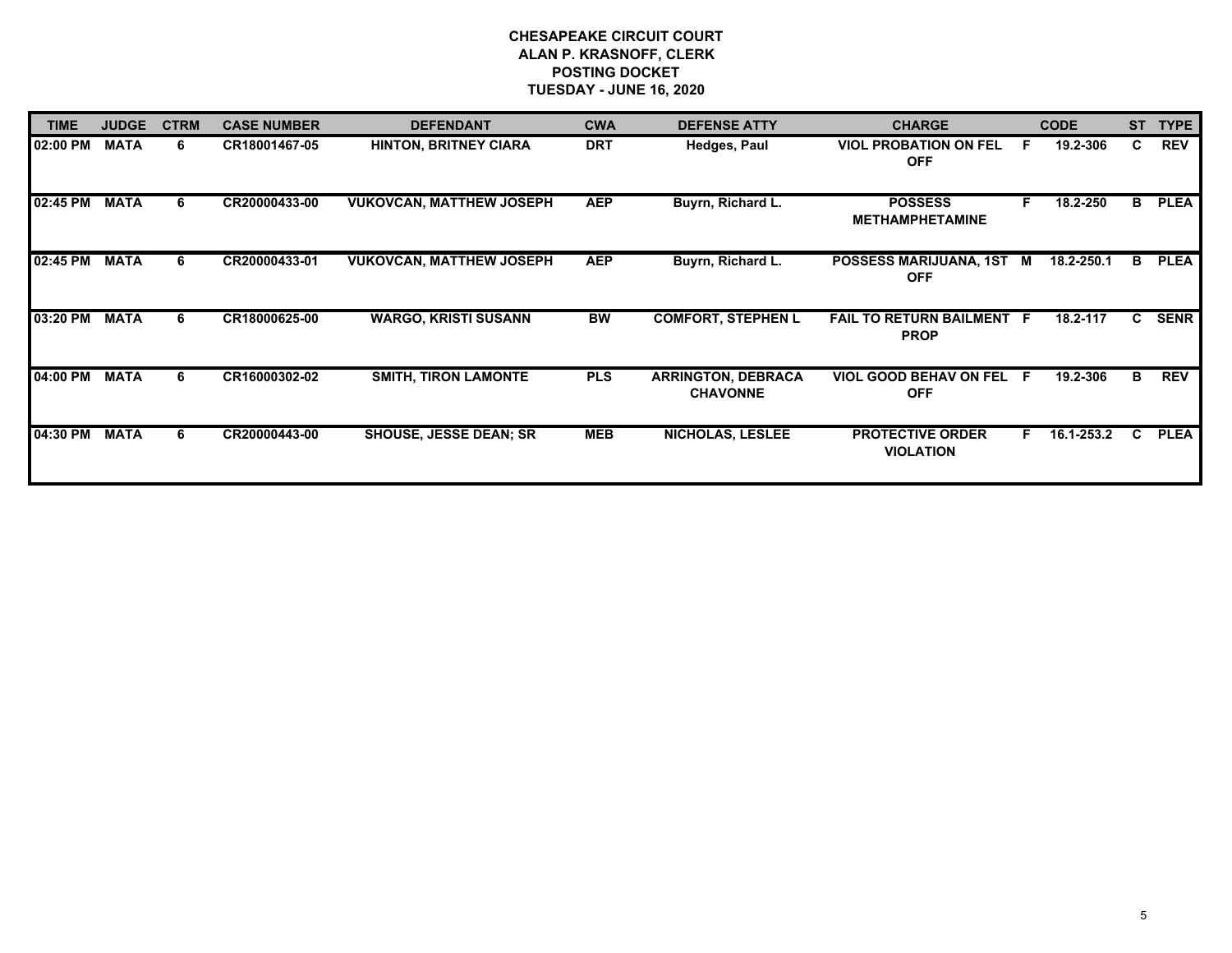| <b>TIME</b> | <b>JUDGE</b> | <b>CTRM</b> | <b>CASE NUMBER</b> | <b>DEFENDANT</b>                | <b>CWA</b> | <b>DEFENSE ATTY</b>                          | <b>CHARGE</b>                                   |    | <b>CODE</b> | <b>ST</b> | <b>TYPE</b> |
|-------------|--------------|-------------|--------------------|---------------------------------|------------|----------------------------------------------|-------------------------------------------------|----|-------------|-----------|-------------|
| 02:00 PM    | <b>MATA</b>  | 6           | CR18001467-05      | <b>HINTON, BRITNEY CIARA</b>    | <b>DRT</b> | Hedges, Paul                                 | <b>VIOL PROBATION ON FEL</b><br><b>OFF</b>      |    | 19.2-306    | C         | <b>REV</b>  |
| 02:45 PM    | <b>MATA</b>  | 6           | CR20000433-00      | <b>VUKOVCAN, MATTHEW JOSEPH</b> | <b>AEP</b> | Buyrn, Richard L.                            | <b>POSSESS</b><br><b>METHAMPHETAMINE</b>        | F. | 18.2-250    | в         | <b>PLEA</b> |
| 02:45 PM    | <b>MATA</b>  | 6           | CR20000433-01      | <b>VUKOVCAN, MATTHEW JOSEPH</b> | <b>AEP</b> | Buyrn, Richard L.                            | POSSESS MARIJUANA, 1ST M<br><b>OFF</b>          |    | 18.2-250.1  | в         | <b>PLEA</b> |
| 03:20 PM    | <b>MATA</b>  | 6           | CR18000625-00      | <b>WARGO, KRISTI SUSANN</b>     | <b>BW</b>  | <b>COMFORT, STEPHEN L</b>                    | <b>FAIL TO RETURN BAILMENT F</b><br><b>PROP</b> |    | 18.2-117    | C.        | <b>SENR</b> |
| 04:00 PM    | <b>MATA</b>  | 6           | CR16000302-02      | <b>SMITH, TIRON LAMONTE</b>     | <b>PLS</b> | <b>ARRINGTON, DEBRACA</b><br><b>CHAVONNE</b> | <b>VIOL GOOD BEHAV ON FEL</b><br><b>OFF</b>     | E  | 19.2-306    | в         | <b>REV</b>  |
| 04:30 PM    | <b>MATA</b>  | 6.          | CR20000443-00      | <b>SHOUSE, JESSE DEAN; SR</b>   | <b>MEB</b> | <b>NICHOLAS, LESLEE</b>                      | <b>PROTECTIVE ORDER</b><br><b>VIOLATION</b>     | F. | 16.1-253.2  | C         | <b>PLEA</b> |